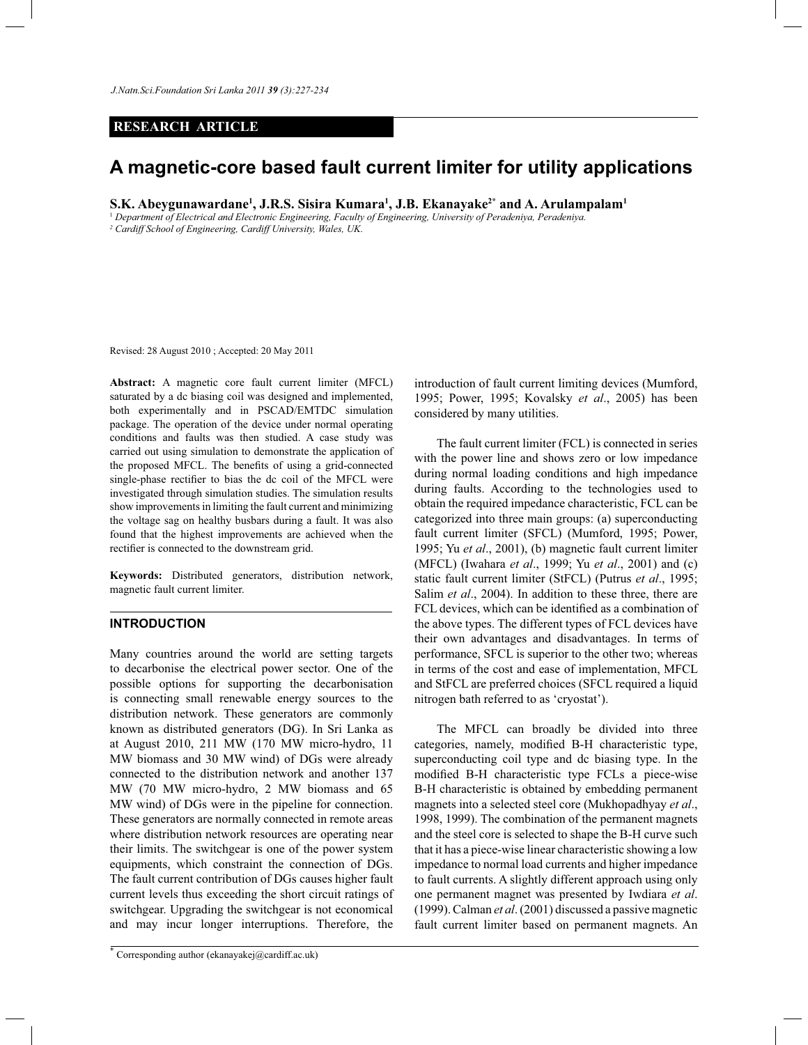*J.Natn.Sci.Foundation Sri Lanka 2011 39 (3):227-234* 

# **RESEARCH ARTICLE**

# **A magnetic-core based fault current limiter for utility applications**

**S.K. Abeygunawardane<sup>1</sup> , J.R.S. Sisira Kumara<sup>1</sup> , J.B. Ekanayake2\* and A. Arulampalam<sup>1</sup>**

<sup>1</sup> *Department of Electrical and Electronic Engineering, Faculty of Engineering, University of Peradeniya, Peradeniya.*

*2 Cardiff School of Engineering, Cardiff University, Wales, UK.*

Revised: 28 August 2010 ; Accepted: 20 May 2011

**Abstract:** A magnetic core fault current limiter (MFCL) saturated by a dc biasing coil was designed and implemented, both experimentally and in PSCAD/EMTDC simulation package. The operation of the device under normal operating conditions and faults was then studied. A case study was carried out using simulation to demonstrate the application of the proposed MFCL. The benefits of using a grid-connected single-phase rectifier to bias the dc coil of the MFCL were investigated through simulation studies. The simulation results show improvements in limiting the fault current and minimizing the voltage sag on healthy busbars during a fault. It was also found that the highest improvements are achieved when the rectifier is connected to the downstream grid.

**Keywords:** Distributed generators, distribution network, magnetic fault current limiter.

# **INTRODUCTION**

Many countries around the world are setting targets to decarbonise the electrical power sector. One of the possible options for supporting the decarbonisation is connecting small renewable energy sources to the distribution network. These generators are commonly known as distributed generators (DG). In Sri Lanka as at August 2010, 211 MW (170 MW micro-hydro, 11 MW biomass and 30 MW wind) of DGs were already connected to the distribution network and another 137 MW (70 MW micro-hydro, 2 MW biomass and 65 MW wind) of DGs were in the pipeline for connection. These generators are normally connected in remote areas where distribution network resources are operating near their limits. The switchgear is one of the power system equipments, which constraint the connection of DGs. The fault current contribution of DGs causes higher fault current levels thus exceeding the short circuit ratings of switchgear. Upgrading the switchgear is not economical and may incur longer interruptions. Therefore, the

introduction of fault current limiting devices (Mumford, 1995; Power, 1995; Kovalsky *et al*., 2005) has been considered by many utilities.

 The fault current limiter (FCL) is connected in series with the power line and shows zero or low impedance during normal loading conditions and high impedance during faults. According to the technologies used to obtain the required impedance characteristic, FCL can be categorized into three main groups: (a) superconducting fault current limiter (SFCL) (Mumford, 1995; Power, 1995; Yu *et al*., 2001), (b) magnetic fault current limiter (MFCL) (Iwahara *et al*., 1999; Yu *et al*., 2001) and (c) static fault current limiter (StFCL) (Putrus *et al*., 1995; Salim *et al.*, 2004). In addition to these three, there are FCL devices, which can be identified as a combination of the above types. The different types of FCL devices have their own advantages and disadvantages. In terms of performance, SFCL is superior to the other two; whereas in terms of the cost and ease of implementation, MFCL and StFCL are preferred choices (SFCL required a liquid nitrogen bath referred to as 'cryostat').

 The MFCL can broadly be divided into three categories, namely, modified B-H characteristic type, superconducting coil type and dc biasing type. In the modified B-H characteristic type FCLs a piece-wise B-H characteristic is obtained by embedding permanent magnets into a selected steel core (Mukhopadhyay *et al*., 1998, 1999). The combination of the permanent magnets and the steel core is selected to shape the B-H curve such that it has a piece-wise linear characteristic showing a low impedance to normal load currents and higher impedance to fault currents. A slightly different approach using only one permanent magnet was presented by Iwdiara *et al*. (1999). Calman *et al*. (2001) discussed a passive magnetic fault current limiter based on permanent magnets. An

<sup>\*</sup> Corresponding author (ekanayakej@cardiff.ac.uk)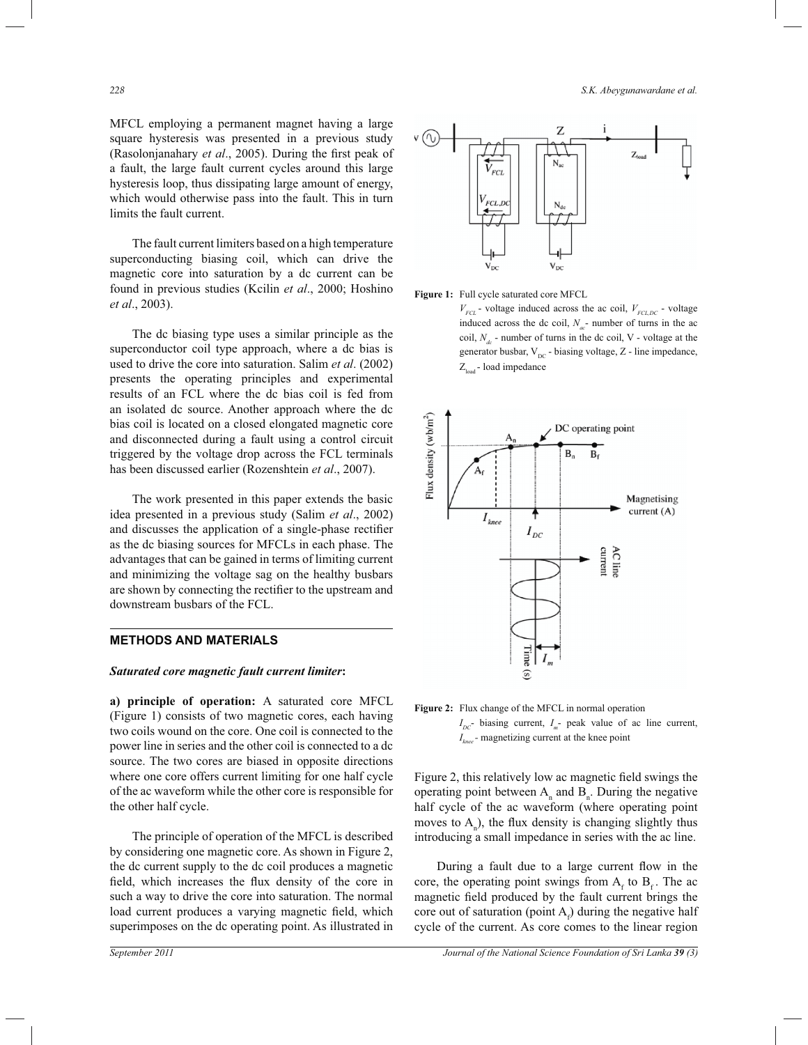MFCL employing a permanent magnet having a large square hysteresis was presented in a previous study (Rasolonjanahary *et al*., 2005). During the first peak of a fault, the large fault current cycles around this large hysteresis loop, thus dissipating large amount of energy, which would otherwise pass into the fault. This in turn limits the fault current.

 The fault current limiters based on a high temperature superconducting biasing coil, which can drive the magnetic core into saturation by a dc current can be found in previous studies (Kcilin *et al*., 2000; Hoshino *et al*., 2003).

 The dc biasing type uses a similar principle as the superconductor coil type approach, where a dc bias is used to drive the core into saturation. Salim *et al*. (2002) presents the operating principles and experimental results of an FCL where the dc bias coil is fed from an isolated dc source. Another approach where the dc bias coil is located on a closed elongated magnetic core and disconnected during a fault using a control circuit triggered by the voltage drop across the FCL terminals has been discussed earlier (Rozenshtein *et al*., 2007).

 The work presented in this paper extends the basic idea presented in a previous study (Salim *et al*., 2002) and discusses the application of a single-phase rectifier as the dc biasing sources for MFCLs in each phase. The advantages that can be gained in terms of limiting current and minimizing the voltage sag on the healthy busbars are shown by connecting the rectifier to the upstream and downstream busbars of the FCL.

# **METHODS AND MATERIALS**

# *Saturated core magnetic fault current limiter***:**

**a) principle of operation:** A saturated core MFCL (Figure 1) consists of two magnetic cores, each having two coils wound on the core. One coil is connected to the power line in series and the other coil is connected to a dc source. The two cores are biased in opposite directions where one core offers current limiting for one half cycle of the ac waveform while the other core is responsible for the other half cycle.

 The principle of operation of the MFCL is described by considering one magnetic core. As shown in Figure 2, the dc current supply to the dc coil produces a magnetic field, which increases the flux density of the core in such a way to drive the core into saturation. The normal load current produces a varying magnetic field, which superimposes on the dc operating point. As illustrated in





 $V_{FCL}$  - voltage induced across the ac coil,  $V_{FCL,DC}$  - voltage induced across the dc coil,  $N_{ac}$ - number of turns in the ac coil,  $N<sub>d</sub>$  - number of turns in the dc coil, V - voltage at the generator busbar,  $V_{DC}$  - biasing voltage, Z - line impedance,  $Z<sub>load</sub>$  - load impedance





Figure 2, this relatively low ac magnetic field swings the operating point between  $A_n$  and  $B_n$ . During the negative half cycle of the ac waveform (where operating point moves to  $A_n$ ), the flux density is changing slightly thus introducing a small impedance in series with the ac line.

 During a fault due to a large current flow in the core, the operating point swings from  $A_f$  to  $B_f$ . The ac magnetic field produced by the fault current brings the core out of saturation (point  $A_f$ ) during the negative half cycle of the current. As core comes to the linear region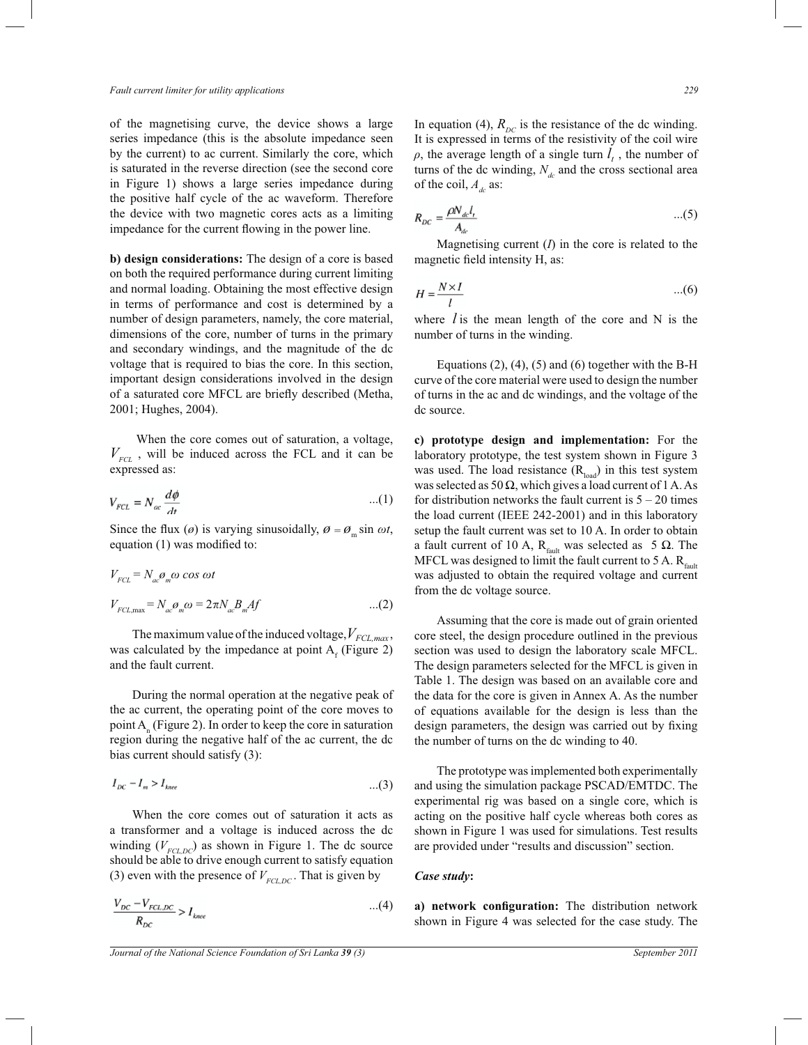of the magnetising curve, the device shows a large series impedance (this is the absolute impedance seen by the current) to ac current. Similarly the core, which is saturated in the reverse direction (see the second core in Figure 1) shows a large series impedance during the positive half cycle of the ac waveform. Therefore the device with two magnetic cores acts as a limiting impedance for the current flowing in the power line.

**b) design considerations:** The design of a core is based on both the required performance during current limiting and normal loading. Obtaining the most effective design in terms of performance and cost is determined by a number of design parameters, namely, the core material, dimensions of the core, number of turns in the primary and secondary windings, and the magnitude of the dc voltage that is required to bias the core. In this section, important design considerations involved in the design of a saturated core MFCL are briefly described (Metha, 2001; Hughes, 2004).

 When the core comes out of saturation, a voltage,  $V_{FCL}$ , will be induced across the FCL and it can be expressed as:

$$
V_{FCL} = N_{ac} \frac{d\phi}{dt}
$$
...(1)

Since the flux ( $\varnothing$ ) is varying sinusoidally,  $\varnothing = \varnothing$ <sub>m</sub> sin  $\omega t$ , equation (1) was modified to:

$$
V_{FCL} = N_{ac} \mathcal{O}_m \omega \cos \omega t
$$
  
\n
$$
V_{FCL, \text{max}} = N_{ac} \mathcal{O}_m \omega = 2\pi N_{ac} B_m A f \qquad ...(2)
$$

The maximum value of the induced voltage,  $V_{FCL, max}$ , was calculated by the impedance at point  $A_f$  (Figure 2) and the fault current.

 During the normal operation at the negative peak of the ac current, the operating point of the core moves to point  $A_n$  (Figure 2). In order to keep the core in saturation region during the negative half of the ac current, the dc bias current should satisfy (3):

$$
I_{DC} - I_m > I_{\text{knee}} \tag{3}
$$

 When the core comes out of saturation it acts as a transformer and a voltage is induced across the dc winding  $(V_{FCL,DC})$  as shown in Figure 1. The dc source should be able to drive enough current to satisfy equation (3) even with the presence of  $V_{FCLDC}$ . That is given by

$$
\frac{V_{DC} - V_{FCL,DC}}{R_{DC}} > I_{knee}
$$
...(4)

In equation (4),  $R_{DC}$  is the resistance of the dc winding. It is expressed in terms of the resistivity of the coil wire  $\rho$ , the average length of a single turn  $l_t$ , the number of turns of the dc winding,  $N_d$  and the cross sectional area of the coil,  $A_d$  as:

$$
R_{DC} = \frac{\rho N_{dc} l_t}{A_{dc}} \tag{5}
$$

Magnetising current  $(I)$  in the core is related to the magnetic field intensity H, as:

$$
H = \frac{N \times I}{l} \qquad \qquad \dots (6)
$$

where  $l$  is the mean length of the core and N is the number of turns in the winding.

Equations  $(2)$ ,  $(4)$ ,  $(5)$  and  $(6)$  together with the B-H curve of the core material were used to design the number of turns in the ac and dc windings, and the voltage of the dc source.

**c) prototype design and implementation:** For the laboratory prototype, the test system shown in Figure 3 was used. The load resistance  $(R<sub>load</sub>)$  in this test system was selected as 50  $\Omega$ , which gives a load current of 1 A. As for distribution networks the fault current is  $5 - 20$  times the load current (IEEE 242-2001) and in this laboratory setup the fault current was set to 10 A. In order to obtain a fault current of 10 A,  $R_{\text{fault}}$  was selected as 5 Ω. The MFCL was designed to limit the fault current to 5 A.  $R_{\text{fault}}$ was adjusted to obtain the required voltage and current from the dc voltage source.

 Assuming that the core is made out of grain oriented core steel, the design procedure outlined in the previous section was used to design the laboratory scale MFCL. The design parameters selected for the MFCL is given in Table 1. The design was based on an available core and the data for the core is given in Annex A. As the number of equations available for the design is less than the design parameters, the design was carried out by fixing the number of turns on the dc winding to 40.

 The prototype was implemented both experimentally and using the simulation package PSCAD/EMTDC. The experimental rig was based on a single core, which is acting on the positive half cycle whereas both cores as shown in Figure 1 was used for simulations. Test results are provided under "results and discussion" section.

#### *Case study***:**

**a) network configuration:** The distribution network shown in Figure 4 was selected for the case study. The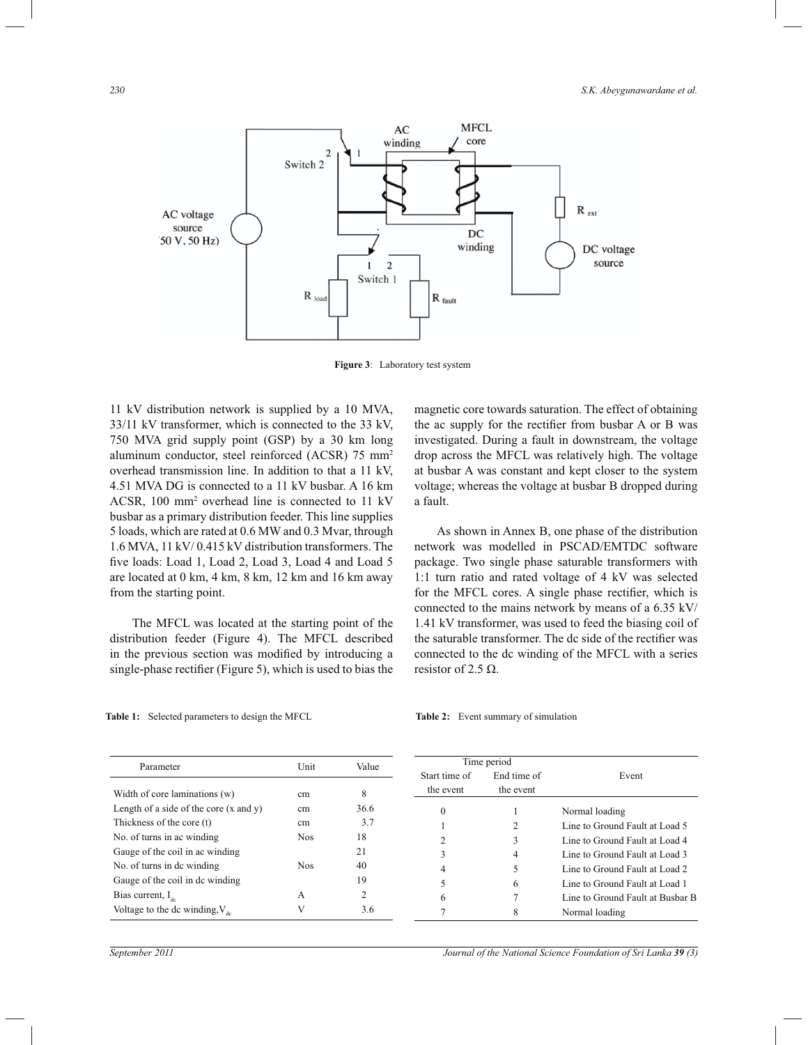

**Figure 3**: Laboratory test system

11 kV distribution network is supplied by a 10 MVA, 33/11 kV transformer, which is connected to the 33 kV, 750 MVA grid supply point (GSP) by a 30 km long aluminum conductor, steel reinforced (ACSR) 75 mm<sup>2</sup> overhead transmission line. In addition to that a 11 kV, 4.51 MVA DG is connected to a 11 kV busbar. A 16 km ACSR, 100 mm<sup>2</sup> overhead line is connected to 11 kV busbar as a primary distribution feeder. This line supplies 5 loads, which are rated at 0.6 MW and 0.3 Mvar, through 1.6 MVA, 11 kV/ 0.415 kV distribution transformers. The five loads: Load 1, Load 2, Load 3, Load 4 and Load 5 are located at 0 km, 4 km, 8 km, 12 km and 16 km away from the starting point.

 The MFCL was located at the starting point of the distribution feeder (Figure 4). The MFCL described in the previous section was modified by introducing a single-phase rectifier (Figure 5), which is used to bias the

magnetic core towards saturation. The effect of obtaining the ac supply for the rectifier from busbar A or B was investigated. During a fault in downstream, the voltage drop across the MFCL was relatively high. The voltage at busbar A was constant and kept closer to the system voltage; whereas the voltage at busbar B dropped during a fault.

 As shown in Annex B, one phase of the distribution network was modelled in PSCAD/EMTDC software package. Two single phase saturable transformers with 1:1 turn ratio and rated voltage of 4 kV was selected for the MFCL cores. A single phase rectifier, which is connected to the mains network by means of a 6.35 kV/ 1.41 kV transformer, was used to feed the biasing coil of the saturable transformer. The dc side of the rectifier was connected to the dc winding of the MFCL with a series resistor of 2.5 Ω.

|  |  | <b>Table 1:</b> Selected parameters to design the MFCL |  |  |
|--|--|--------------------------------------------------------|--|--|
|--|--|--------------------------------------------------------|--|--|

#### Table 2: Event summary of simulation

| Parameter                                         | Unit       | Value | Time period   |             |                                  |
|---------------------------------------------------|------------|-------|---------------|-------------|----------------------------------|
|                                                   |            |       | Start time of | End time of | Event                            |
| Width of core laminations (w)                     | cm         | 8     | the event     | the event   |                                  |
| Length of a side of the core $(x \text{ and } y)$ | cm         | 36.6  | 0             |             | Normal loading                   |
| Thickness of the core (t)                         | cm         | 3.7   |               | 2           | Line to Ground Fault at Load 5   |
| No. of turns in ac winding                        | <b>Nos</b> | 18    |               | 3           | Line to Ground Fault at Load 4   |
| Gauge of the coil in ac winding                   |            | 21    | 3             | 4           | Line to Ground Fault at Load 3   |
| No. of turns in de winding                        | <b>Nos</b> | 40    | 4             |             | Line to Ground Fault at Load 2   |
| Gauge of the coil in dc winding                   |            | 19    |               | 6           | Line to Ground Fault at Load 1   |
| Bias current, $I_{42}$                            | A          | 2     | 6             |             | Line to Ground Fault at Busbar B |
| Voltage to the dc winding, $V_{dc}$               |            | 3.6   |               | 8           | Normal loading                   |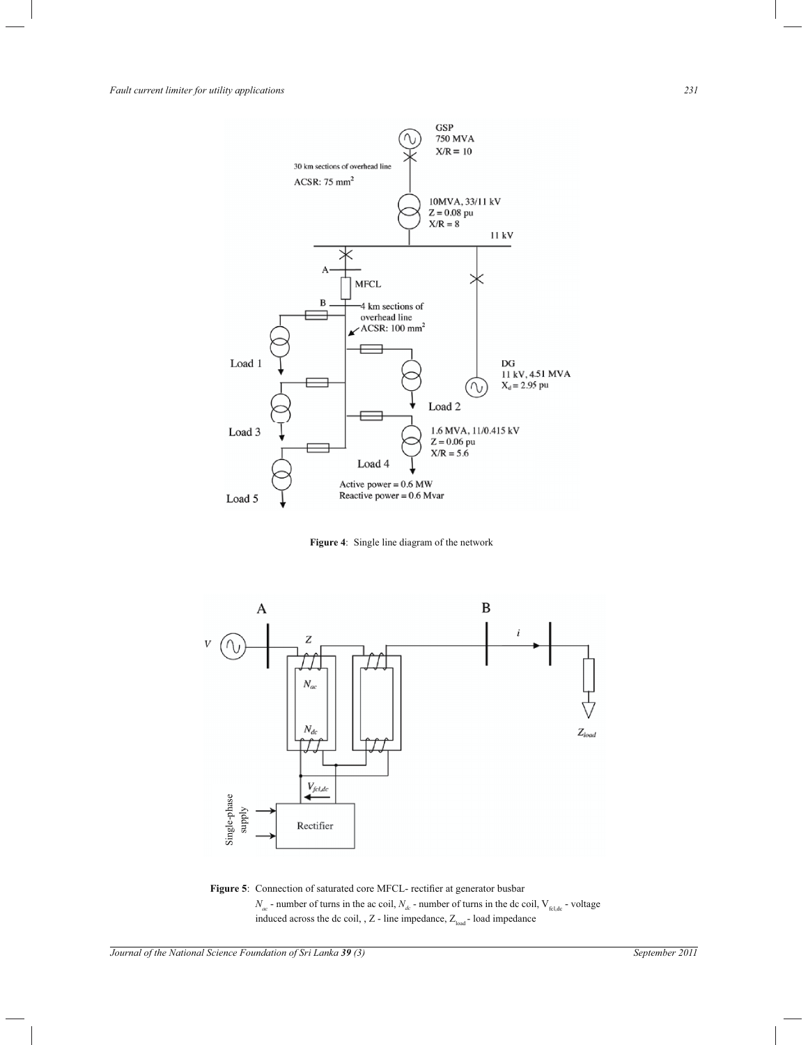*Fault current limiter for utility applications 231*



**Figure 4**: Single line diagram of the network



**Figure 5**: Connection of saturated core MFCL- rectifier at generator busbar  $N_{ac}$  - number of turns in the ac coil,  $N_{dc}$  - number of turns in the dc coil,  $V_{\text{fcl,dc}}$  - voltage induced across the dc coil, ,  $Z$  - line impedance,  $Z_{\mathrm{load}}$  - load impedance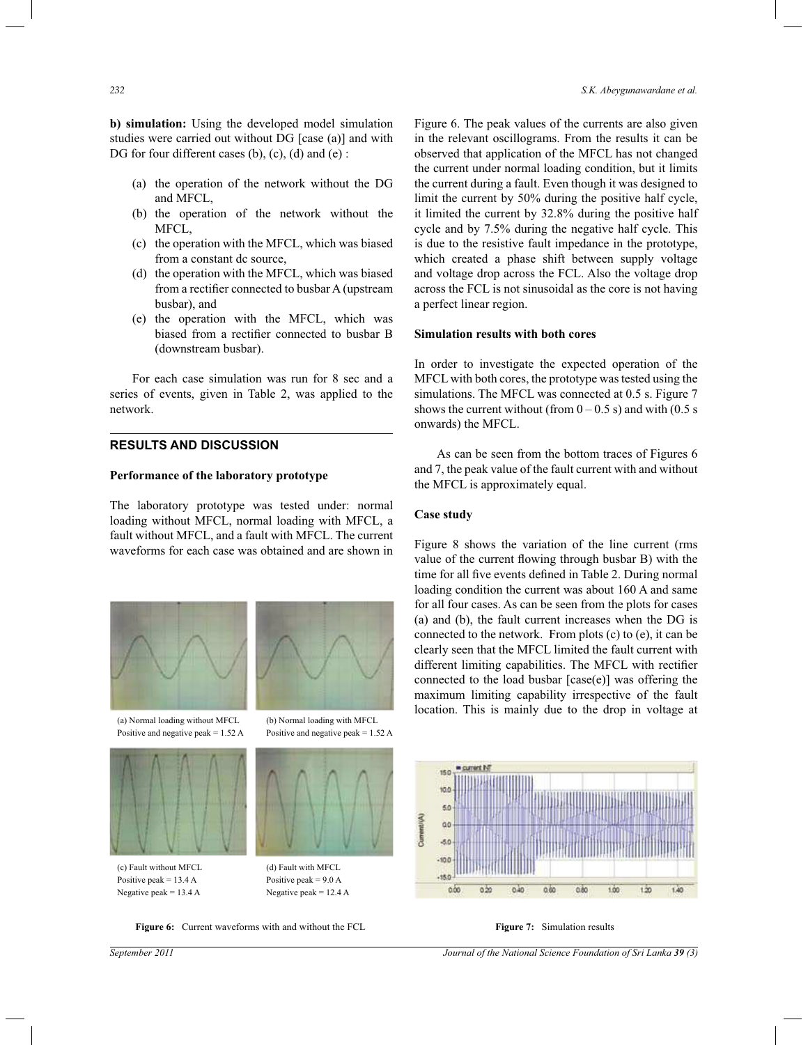**b) simulation:** Using the developed model simulation studies were carried out without DG [case (a)] and with DG for four different cases (b), (c), (d) and (e) :

- (a) the operation of the network without the DG and MFCL,
- (b) the operation of the network without the MFCL,
- (c) the operation with the MFCL, which was biased from a constant dc source,
- (d) the operation with the MFCL, which was biased from a rectifier connected to busbar A (upstream busbar), and
- (e) the operation with the MFCL, which was biased from a rectifier connected to busbar B (downstream busbar).

 For each case simulation was run for 8 sec and a series of events, given in Table 2, was applied to the network.

# **RESULTS AND DISCUSSION**

#### **Performance of the laboratory prototype**

The laboratory prototype was tested under: normal loading without MFCL, normal loading with MFCL, a fault without MFCL, and a fault with MFCL. The current waveforms for each case was obtained and are shown in





Positive and negative peak =  $1.52 \text{ A}$  Positive and negative peak =  $1.52 \text{ A}$ 



Positive peak  $= 13.4$  A Positive peak  $= 9.0$  A Negative peak =  $13.4 \text{ A}$  Negative peak =  $12.4 \text{ A}$ 

(a) Normal loading without MFCL (b) Normal loading with MFCL



(c) Fault without MFCL (d) Fault with MFCL

**Figure 6:** Current waveforms with and without the FCL **Figure 7:** Simulation results

Figure 6. The peak values of the currents are also given in the relevant oscillograms. From the results it can be observed that application of the MFCL has not changed the current under normal loading condition, but it limits the current during a fault. Even though it was designed to limit the current by 50% during the positive half cycle, it limited the current by 32.8% during the positive half cycle and by 7.5% during the negative half cycle. This is due to the resistive fault impedance in the prototype, which created a phase shift between supply voltage and voltage drop across the FCL. Also the voltage drop across the FCL is not sinusoidal as the core is not having a perfect linear region.

#### **Simulation results with both cores**

In order to investigate the expected operation of the MFCL with both cores, the prototype was tested using the simulations. The MFCL was connected at 0.5 s. Figure 7 shows the current without (from  $0 - 0.5$  s) and with (0.5 s) onwards) the MFCL.

 As can be seen from the bottom traces of Figures 6 and 7, the peak value of the fault current with and without the MFCL is approximately equal.

#### **Case study**

Figure 8 shows the variation of the line current (rms value of the current flowing through busbar B) with the time for all five events defined in Table 2. During normal loading condition the current was about 160 A and same for all four cases. As can be seen from the plots for cases (a) and (b), the fault current increases when the DG is connected to the network. From plots (c) to (e), it can be clearly seen that the MFCL limited the fault current with different limiting capabilities. The MFCL with rectifier connected to the load busbar [case(e)] was offering the maximum limiting capability irrespective of the fault location. This is mainly due to the drop in voltage at



*September 2011 Journal of the National Science Foundation of Sri Lanka 39 (3)*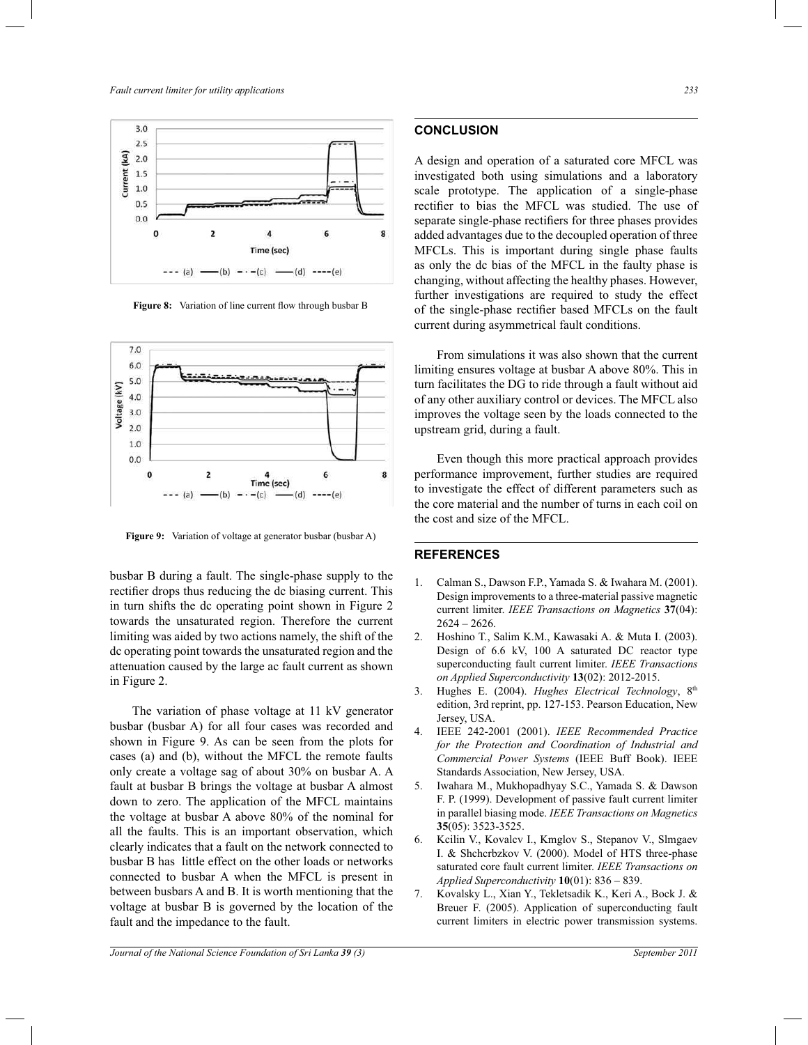

**Figure 8:** Variation of line current flow through busbar B



**Figure 9:** Variation of voltage at generator busbar (busbar A)

busbar B during a fault. The single-phase supply to the rectifier drops thus reducing the dc biasing current. This in turn shifts the dc operating point shown in Figure 2 towards the unsaturated region. Therefore the current limiting was aided by two actions namely, the shift of the dc operating point towards the unsaturated region and the attenuation caused by the large ac fault current as shown in Figure 2.

 The variation of phase voltage at 11 kV generator busbar (busbar A) for all four cases was recorded and shown in Figure 9. As can be seen from the plots for cases (a) and (b), without the MFCL the remote faults only create a voltage sag of about 30% on busbar A. A fault at busbar B brings the voltage at busbar A almost down to zero. The application of the MFCL maintains the voltage at busbar A above 80% of the nominal for all the faults. This is an important observation, which clearly indicates that a fault on the network connected to busbar B has little effect on the other loads or networks connected to busbar A when the MFCL is present in between busbars A and B. It is worth mentioning that the voltage at busbar B is governed by the location of the fault and the impedance to the fault.

# **CONCLUSION**

A design and operation of a saturated core MFCL was investigated both using simulations and a laboratory scale prototype. The application of a single-phase rectifier to bias the MFCL was studied. The use of separate single-phase rectifiers for three phases provides added advantages due to the decoupled operation of three MFCLs. This is important during single phase faults as only the dc bias of the MFCL in the faulty phase is changing, without affecting the healthy phases. However, further investigations are required to study the effect of the single-phase rectifier based MFCLs on the fault current during asymmetrical fault conditions.

 From simulations it was also shown that the current limiting ensures voltage at busbar A above 80%. This in turn facilitates the DG to ride through a fault without aid of any other auxiliary control or devices. The MFCL also improves the voltage seen by the loads connected to the upstream grid, during a fault.

 Even though this more practical approach provides performance improvement, further studies are required to investigate the effect of different parameters such as the core material and the number of turns in each coil on the cost and size of the MFCL.

#### **REFERENCES**

- 1. Calman S., Dawson F.P., Yamada S. & Iwahara M. (2001). Design improvements to a three-material passive magnetic current limiter. *IEEE Transactions on Magnetics* **37**(04):  $2624 - 2626$ .
- 2. Hoshino T., Salim K.M., Kawasaki A. & Muta I. (2003). Design of 6.6 kV, 100 A saturated DC reactor type superconducting fault current limiter. *IEEE Transactions on Applied Superconductivity* **13**(02): 2012-2015.
- 3. Hughes E. (2004). *Hughes Electrical Technology*, 8<sup>th</sup> edition, 3rd reprint, pp. 127-153. Pearson Education, New Jersey, USA.
- 4. IEEE 242-2001 (2001). *IEEE Recommended Practice for the Protection and Coordination of Industrial and Commercial Power Systems* (IEEE Buff Book). IEEE Standards Association, New Jersey, USA.
- 5. Iwahara M., Mukhopadhyay S.C., Yamada S. & Dawson F. P. (1999). Development of passive fault current limiter in parallel biasing mode. *IEEE Transactions on Magnetics*  **35**(05): 3523-3525.
- 6. Kcilin V., Kovalcv I., Kmglov S., Stepanov V., Slmgaev I. & Shchcrbzkov V. (2000). Model of HTS three-phase saturated core fault current limiter. *IEEE Transactions on Applied Superconductivity* **10**(01): 836 – 839.
- 7. Kovalsky L., Xian Y., Tekletsadik K., Keri A., Bock J. & Breuer F. (2005). Application of superconducting fault current limiters in electric power transmission systems.

*Journal of the National Science Foundation of Sri Lanka 39 (3) September 2011*